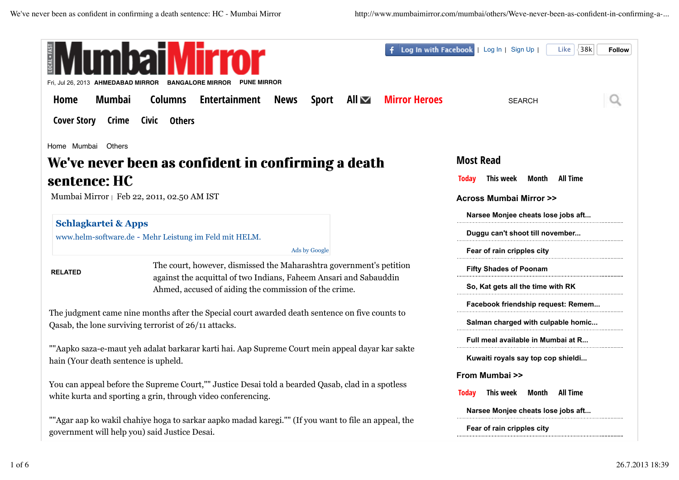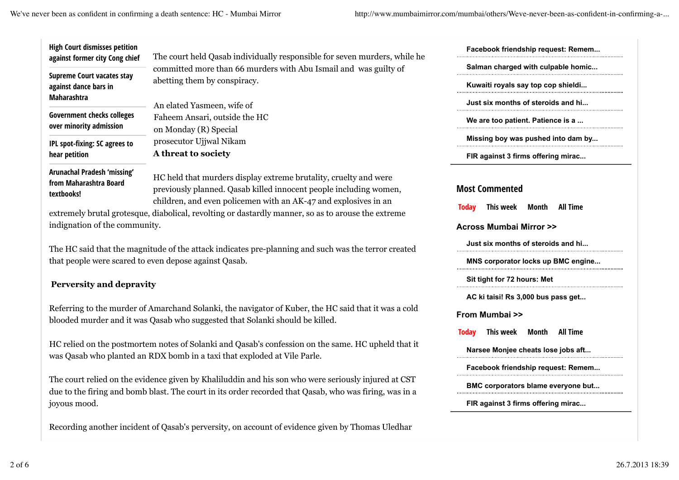We've never been as confident in confirming a death sentence: HC - Mumbai Mirror http://www.mumbaimirror.com/mumbai/others/Weve-never-been-as-confident-in-confirming-a-...

|                                                                                                                                                                                                                                                                                       | Facebook friendship request: Remem                                                          |
|---------------------------------------------------------------------------------------------------------------------------------------------------------------------------------------------------------------------------------------------------------------------------------------|---------------------------------------------------------------------------------------------|
| The court held Qasab individually responsible for seven murders, while he<br>committed more than 66 murders with Abu Ismail and was guilty of                                                                                                                                         | Salman charged with culpable homic                                                          |
| abetting them by conspiracy.                                                                                                                                                                                                                                                          | Kuwaiti royals say top cop shieldi                                                          |
| An elated Yasmeen, wife of                                                                                                                                                                                                                                                            | Just six months of steroids and hi                                                          |
| Faheem Ansari, outside the HC                                                                                                                                                                                                                                                         | We are too patient. Patience is a                                                           |
| on Monday (R) Special                                                                                                                                                                                                                                                                 |                                                                                             |
| prosecutor Ujjwal Nikam                                                                                                                                                                                                                                                               | Missing boy was pushed into dam by                                                          |
| A threat to society                                                                                                                                                                                                                                                                   | FIR against 3 firms offering mirac                                                          |
| HC held that murders display extreme brutality, cruelty and were<br>previously planned. Qasab killed innocent people including women,<br>children, and even policemen with an AK-47 and explosives in an<br>e, diabolical, revolting or dastardly manner, so as to arouse the extreme | <b>Most Commented</b><br>This week<br>All Time<br><b>Today</b><br>Month                     |
| nity.                                                                                                                                                                                                                                                                                 | <b>Across Mumbai Mirror &gt;&gt;</b>                                                        |
| itude of the attack indicates pre-planning and such was the terror created                                                                                                                                                                                                            | Just six months of steroids and hi                                                          |
| even depose against Qasab.                                                                                                                                                                                                                                                            | MNS corporator locks up BMC engine                                                          |
| ity                                                                                                                                                                                                                                                                                   | Sit tight for 72 hours: Met                                                                 |
|                                                                                                                                                                                                                                                                                       | AC ki taisi! Rs 3,000 bus pass get                                                          |
| Amarchand Solanki, the navigator of Kuber, the HC said that it was a cold<br>Qasab who suggested that Solanki should be killed.                                                                                                                                                       | From Mumbai >>                                                                              |
| em notes of Solanki and Qasab's confession on the same. HC upheld that it<br>RDX bomb in a taxi that exploded at Vile Parle.                                                                                                                                                          | This week<br><b>All Time</b><br><b>Today</b><br>Month<br>Narsee Monjee cheats lose jobs aft |
|                                                                                                                                                                                                                                                                                       | Facebook friendship request: Remem                                                          |
| dence given by Khaliluddin and his son who were seriously injured at CST<br>blast. The court in its order recorded that Qasab, who was firing, was in a                                                                                                                               | BMC corporators blame everyone but                                                          |
|                                                                                                                                                                                                                                                                                       | FIR against 3 firms offering mirac                                                          |
| t of Qasab's perversity, on account of evidence given by Thomas Uledhar                                                                                                                                                                                                               |                                                                                             |

against dance bars in Maharashtra

Government checks colleges over minority admission

IPL spot-fixing: SC agrees to hear petition

Arunachal Pradesh 'missing' from Maharashtra Board textbooks!

extremely brutal grotesque indignation of the community.

The HC said that the magni that people were scared to

## **Perversity and depravi**

Referring to the murder of blooded murder and it was

HC relied on the postmorte was Qasab who planted an

The court relied on the evid due to the firing and bomb joyous mood.

Recording another incident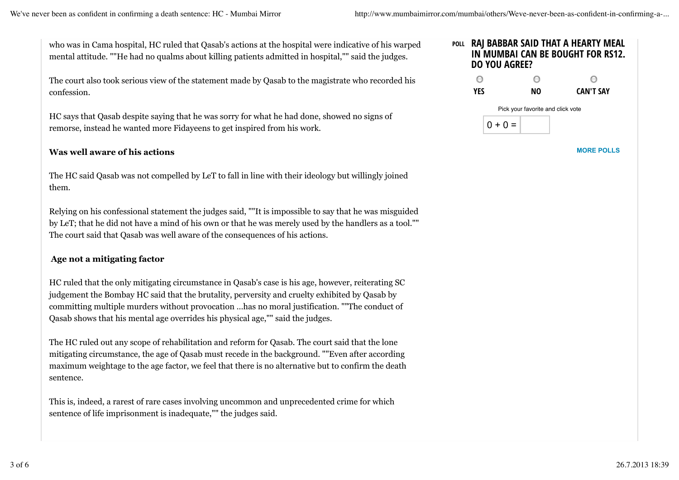who was in Cama hospital, HC ruled that Qasab's actions at the hospital were indicative of his warped mental attitude. ""He had no qualms about killing patients admitted in hospital,"" said the judges.

The court also took serious view of the statement made by Qasab to the magistrate who recorded his confession.

HC says that Qasab despite saying that he was sorry for what he had done, showed no signs of remorse, instead he wanted more Fidayeens to get inspired from his work.

## **Was well aware of his actions**

The HC said Qasab was not compelled by LeT to fall in line with their ideology but willingly joined them.

Relying on his confessional statement the judges said, ""It is impossible to say that he was misguided by LeT; that he did not have a mind of his own or that he was merely used by the handlers as a tool."" The court said that Qasab was well aware of the consequences of his actions.

## **Age not a mitigating factor**

HC ruled that the only mitigating circumstance in Qasab's case is his age, however, reiterating SC judgement the Bombay HC said that the brutality, perversity and cruelty exhibited by Qasab by committing multiple murders without provocation …has no moral justification. ""The conduct of Qasab shows that his mental age overrides his physical age,"" said the judges.

The HC ruled out any scope of rehabilitation and reform for Qasab. The court said that the lone mitigating circumstance, the age of Qasab must recede in the background. ""Even after according maximum weightage to the age factor, we feel that there is no alternative but to confirm the death sentence.

This is, indeed, a rarest of rare cases involving uncommon and unprecedented crime for which sentence of life imprisonment is inadequate,"" the judges said.



**MORE POLLS**